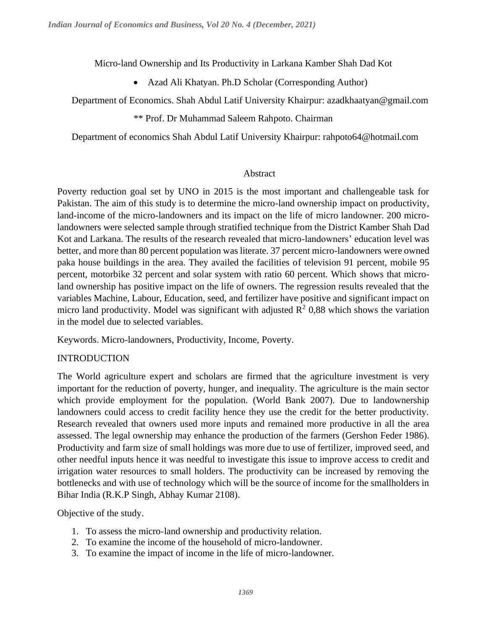Micro-land Ownership and Its Productivity in Larkana Kamber Shah Dad Kot

• Azad Ali Khatyan. Ph.D Scholar (Corresponding Author)

Department of Economics. Shah Abdul Latif University Khairpur: azadkhaatyan@gmail.com

\*\* Prof. Dr Muhammad Saleem Rahpoto. Chairman

Department of economics Shah Abdul Latif University Khairpur: rahpoto64@hotmail.com

#### Abstract

Poverty reduction goal set by UNO in 2015 is the most important and challengeable task for Pakistan. The aim of this study is to determine the micro-land ownership impact on productivity, land-income of the micro-landowners and its impact on the life of micro landowner. 200 microlandowners were selected sample through stratified technique from the District Kamber Shah Dad Kot and Larkana. The results of the research revealed that micro-landowners' education level was better, and more than 80 percent population was literate. 37 percent micro-landowners were owned paka house buildings in the area. They availed the facilities of television 91 percent, mobile 95 percent, motorbike 32 percent and solar system with ratio 60 percent. Which shows that microland ownership has positive impact on the life of owners. The regression results revealed that the variables Machine, Labour, Education, seed, and fertilizer have positive and significant impact on micro land productivity. Model was significant with adjusted  $\mathbb{R}^2$  0,88 which shows the variation in the model due to selected variables.

Keywords. Micro-landowners, Productivity, Income, Poverty.

## INTRODUCTION

The World agriculture expert and scholars are firmed that the agriculture investment is very important for the reduction of poverty, hunger, and inequality. The agriculture is the main sector which provide employment for the population. (World Bank 2007). Due to landownership landowners could access to credit facility hence they use the credit for the better productivity. Research revealed that owners used more inputs and remained more productive in all the area assessed. The legal ownership may enhance the production of the farmers (Gershon Feder 1986). Productivity and farm size of small holdings was more due to use of fertilizer, improved seed, and other needful inputs hence it was needful to investigate this issue to improve access to credit and irrigation water resources to small holders. The productivity can be increased by removing the bottlenecks and with use of technology which will be the source of income for the smallholders in Bihar India (R.K.P Singh, Abhay Kumar 2108).

Objective of the study.

- 1. To assess the micro-land ownership and productivity relation.
- 2. To examine the income of the household of micro-landowner.
- 3. To examine the impact of income in the life of micro-landowner.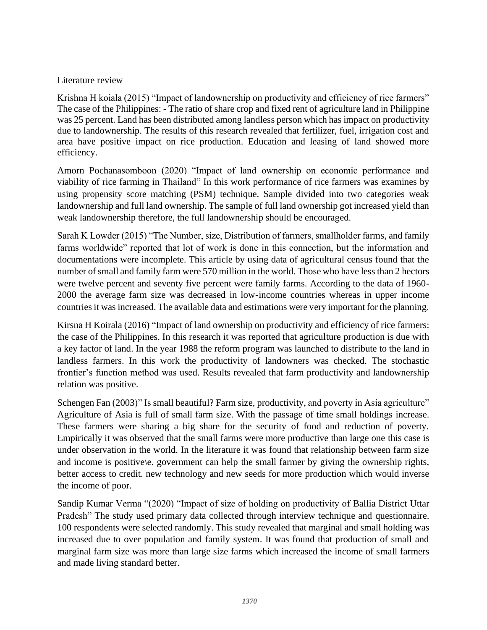### Literature review

Krishna H koiala (2015) "Impact of landownership on productivity and efficiency of rice farmers" The case of the Philippines: - The ratio of share crop and fixed rent of agriculture land in Philippine was 25 percent. Land has been distributed among landless person which has impact on productivity due to landownership. The results of this research revealed that fertilizer, fuel, irrigation cost and area have positive impact on rice production. Education and leasing of land showed more efficiency.

Amorn Pochanasomboon (2020) "Impact of land ownership on economic performance and viability of rice farming in Thailand" In this work performance of rice farmers was examines by using propensity score matching (PSM) technique. Sample divided into two categories weak landownership and full land ownership. The sample of full land ownership got increased yield than weak landownership therefore, the full landownership should be encouraged.

Sarah K Lowder (2015) "The Number, size, Distribution of farmers, smallholder farms, and family farms worldwide" reported that lot of work is done in this connection, but the information and documentations were incomplete. This article by using data of agricultural census found that the number of small and family farm were 570 million in the world. Those who have less than 2 hectors were twelve percent and seventy five percent were family farms. According to the data of 1960- 2000 the average farm size was decreased in low-income countries whereas in upper income countries it was increased. The available data and estimations were very important for the planning.

Kirsna H Koirala (2016) "Impact of land ownership on productivity and efficiency of rice farmers: the case of the Philippines. In this research it was reported that agriculture production is due with a key factor of land. In the year 1988 the reform program was launched to distribute to the land in landless farmers. In this work the productivity of landowners was checked. The stochastic frontier's function method was used. Results revealed that farm productivity and landownership relation was positive.

Schengen Fan (2003)" Is small beautiful? Farm size, productivity, and poverty in Asia agriculture" Agriculture of Asia is full of small farm size. With the passage of time small holdings increase. These farmers were sharing a big share for the security of food and reduction of poverty. Empirically it was observed that the small farms were more productive than large one this case is under observation in the world. In the literature it was found that relationship between farm size and income is positive\e. government can help the small farmer by giving the ownership rights, better access to credit. new technology and new seeds for more production which would inverse the income of poor.

Sandip Kumar Verma "(2020) "Impact of size of holding on productivity of Ballia District Uttar Pradesh" The study used primary data collected through interview technique and questionnaire. 100 respondents were selected randomly. This study revealed that marginal and small holding was increased due to over population and family system. It was found that production of small and marginal farm size was more than large size farms which increased the income of small farmers and made living standard better.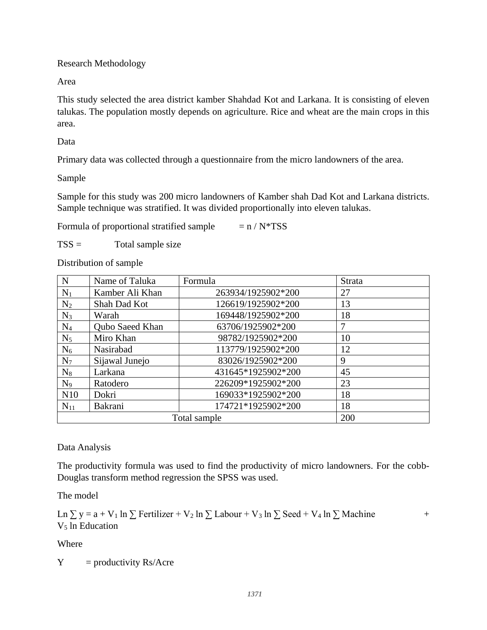Research Methodology

Area

This study selected the area district kamber Shahdad Kot and Larkana. It is consisting of eleven talukas. The population mostly depends on agriculture. Rice and wheat are the main crops in this area.

Data

Primary data was collected through a questionnaire from the micro landowners of the area.

Sample

Sample for this study was 200 micro landowners of Kamber shah Dad Kot and Larkana districts. Sample technique was stratified. It was divided proportionally into eleven talukas.

Formula of proportional stratified sample  $= n / N^*TSS$ 

 $TSS =$  Total sample size

Distribution of sample

| N        | Name of Taluka         | Formula            | Strata |
|----------|------------------------|--------------------|--------|
| $N_1$    | Kamber Ali Khan        | 263934/1925902*200 | 27     |
| $N_2$    | Shah Dad Kot           | 126619/1925902*200 | 13     |
| $N_3$    | Warah                  | 169448/1925902*200 | 18     |
| $N_4$    | <b>Qubo Saeed Khan</b> | 63706/1925902*200  | 7      |
| $N_5$    | Miro Khan              | 98782/1925902*200  | 10     |
| $N_6$    | Nasirabad              | 113779/1925902*200 | 12     |
| $N_7$    | Sijawal Junejo         | 83026/1925902*200  | 9      |
| $N_8$    | Larkana                | 431645*1925902*200 | 45     |
| $N_9$    | Ratodero               | 226209*1925902*200 | 23     |
| N10      | Dokri                  | 169033*1925902*200 | 18     |
| $N_{11}$ | Bakrani                | 174721*1925902*200 | 18     |
|          | 200                    |                    |        |

Data Analysis

The productivity formula was used to find the productivity of micro landowners. For the cobb-Douglas transform method regression the SPSS was used.

The model

Ln  $\Sigma$  y = a + V<sub>1</sub> ln  $\Sigma$  Fertilizer + V<sub>2</sub> ln  $\Sigma$  Labour + V<sub>3</sub> ln  $\Sigma$  Seed + V<sub>4</sub> ln  $\Sigma$  Machine + V<sub>5</sub> ln Education

Where

 $Y =$  productivity Rs/Acre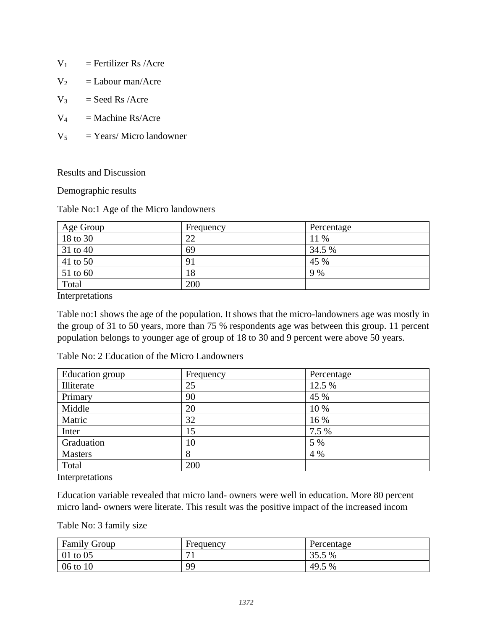- $V_1$  = Fertilizer Rs /Acre
- $V_2$  = Labour man/Acre
- $V_3$  = Seed Rs /Acre
- $V_4$  = Machine Rs/Acre
- $V_5$  = Years/ Micro landowner

Results and Discussion

Demographic results

Table No:1 Age of the Micro landowners

| Age Group | Frequency | Percentage |
|-----------|-----------|------------|
| 18 to 30  | 22        | 11 %       |
| 31 to 40  | 69        | 34.5 %     |
| 41 to 50  | 91        | 45 %       |
| 51 to 60  | 18        | 9 %        |
| Total     | 200       |            |

Interpretations

Table no:1 shows the age of the population. It shows that the micro-landowners age was mostly in the group of 31 to 50 years, more than 75 % respondents age was between this group. 11 percent population belongs to younger age of group of 18 to 30 and 9 percent were above 50 years.

| Education group | Frequency | Percentage |
|-----------------|-----------|------------|
| Illiterate      | 25        | 12.5 %     |
| Primary         | 90        | 45 %       |
| Middle          | 20        | 10 %       |
| Matric          | 32        | 16 %       |
| Inter           | 15        | 7.5 %      |
| Graduation      | 10        | 5 %        |
| <b>Masters</b>  | 8         | 4 %        |
| Total           | 200       |            |

Table No: 2 Education of the Micro Landowners

Interpretations

Education variable revealed that micro land- owners were well in education. More 80 percent micro land- owners were literate. This result was the positive impact of the increased incom

Table No: 3 family size

| <b>Family Group</b> | Frequency      | Percentage |
|---------------------|----------------|------------|
| $01$ to $05$        | $\overline{ }$ | 35.5 %     |
| 06 to 10            | 99             | 49.5 %     |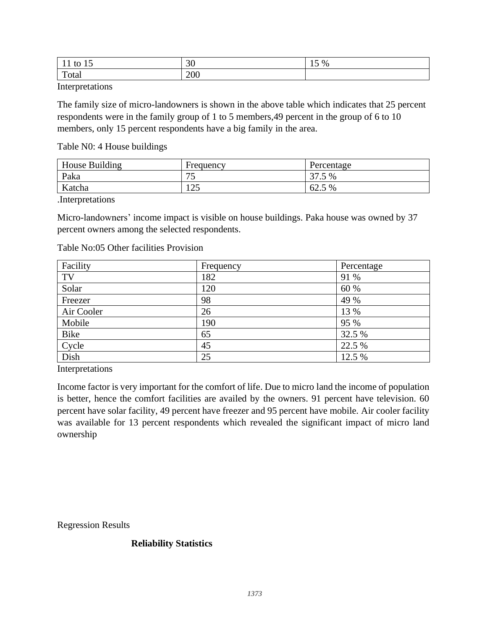| tΟ<br>- 11<br><b>.</b>                     | $\sim$<br>υU | $\%$<br>⊥ັ |
|--------------------------------------------|--------------|------------|
| $\mathbf{r}$<br>vu<br>$\sim$ $\sim$ $\sim$ | 200          |            |

Interpretations

The family size of micro-landowners is shown in the above table which indicates that 25 percent respondents were in the family group of 1 to 5 members,49 percent in the group of 6 to 10 members, only 15 percent respondents have a big family in the area.

Table N0: 4 House buildings

| House Building | Frequency                    | Percentage |
|----------------|------------------------------|------------|
| Paka           | 75<br>ັບ                     | 37.5 %     |
| Katcha         | $1 \cap \mathcal{L}$<br>رے ت | 62.5 %     |

.Interpretations

Micro-landowners' income impact is visible on house buildings. Paka house was owned by 37 percent owners among the selected respondents.

| Table No:05 Other facilities Provision |
|----------------------------------------|
|----------------------------------------|

| Facility   | Frequency | Percentage |
|------------|-----------|------------|
| TV         | 182       | 91 %       |
| Solar      | 120       | 60 %       |
| Freezer    | 98        | 49 %       |
| Air Cooler | 26        | 13 %       |
| Mobile     | 190       | 95 %       |
| Bike       | 65        | 32.5 %     |
| Cycle      | 45        | 22.5 %     |
| Dish       | 25        | 12.5 %     |

Interpretations

Income factor is very important for the comfort of life. Due to micro land the income of population is better, hence the comfort facilities are availed by the owners. 91 percent have television. 60 percent have solar facility, 49 percent have freezer and 95 percent have mobile. Air cooler facility was available for 13 percent respondents which revealed the significant impact of micro land ownership

Regression Results

#### **Reliability Statistics**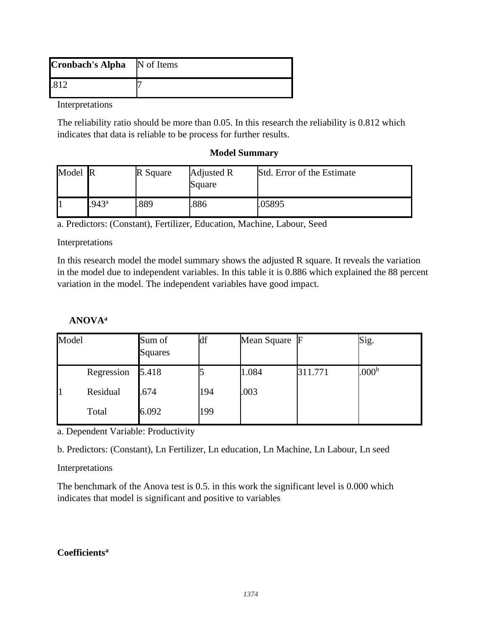| <b>Cronbach's Alpha</b> N of Items |  |
|------------------------------------|--|
|                                    |  |

Interpretations

The reliability ratio should be more than 0.05. In this research the reliability is 0.812 which indicates that data is reliable to be process for further results.

#### **Model Summary**

| Model R |                | R Square | Adjusted R<br>Square | Std. Error of the Estimate |
|---------|----------------|----------|----------------------|----------------------------|
|         | $.943^{\circ}$ | .889     | .886                 | .05895                     |

a. Predictors: (Constant), Fertilizer, Education, Machine, Labour, Seed

#### Interpretations

In this research model the model summary shows the adjusted R square. It reveals the variation in the model due to independent variables. In this table it is 0.886 which explained the 88 percent variation in the model. The independent variables have good impact.

### **ANOVA<sup>a</sup>**

| Model |            | Sum of<br>Squares | df  | Mean Square F |         | Sig.              |
|-------|------------|-------------------|-----|---------------|---------|-------------------|
|       | Regression | 5.418             |     | 1.084         | 311.771 | .000 <sup>b</sup> |
|       | Residual   | .674              | 194 | .003          |         |                   |
|       | Total      | 6.092             | 199 |               |         |                   |

a. Dependent Variable: Productivity

b. Predictors: (Constant), Ln Fertilizer, Ln education, Ln Machine, Ln Labour, Ln seed

## Interpretations

The benchmark of the Anova test is 0.5. in this work the significant level is 0.000 which indicates that model is significant and positive to variables

## **Coefficients<sup>a</sup>**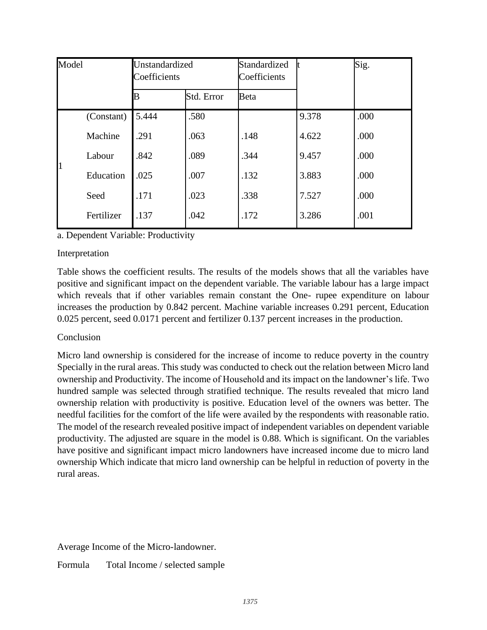| Model |            | Unstandardized<br>Coefficients |            | Standardized<br>Coefficients |       | Sig. |
|-------|------------|--------------------------------|------------|------------------------------|-------|------|
|       |            |                                | Std. Error | Beta                         |       |      |
|       | (Constant) | 5.444                          | .580       |                              | 9.378 | .000 |
|       | Machine    | .291                           | .063       | .148                         | 4.622 | .000 |
|       | Labour     | .842                           | .089       | .344                         | 9.457 | .000 |
| 1     | Education  | .025                           | .007       | .132                         | 3.883 | .000 |
|       | Seed       | .171                           | .023       | .338                         | 7.527 | .000 |
|       | Fertilizer | .137                           | .042       | .172                         | 3.286 | .001 |

a. Dependent Variable: Productivity

# Interpretation

Table shows the coefficient results. The results of the models shows that all the variables have positive and significant impact on the dependent variable. The variable labour has a large impact which reveals that if other variables remain constant the One- rupee expenditure on labour increases the production by 0.842 percent. Machine variable increases 0.291 percent, Education 0.025 percent, seed 0.0171 percent and fertilizer 0.137 percent increases in the production.

# Conclusion

Micro land ownership is considered for the increase of income to reduce poverty in the country Specially in the rural areas. This study was conducted to check out the relation between Micro land ownership and Productivity. The income of Household and its impact on the landowner's life. Two hundred sample was selected through stratified technique. The results revealed that micro land ownership relation with productivity is positive. Education level of the owners was better. The needful facilities for the comfort of the life were availed by the respondents with reasonable ratio. The model of the research revealed positive impact of independent variables on dependent variable productivity. The adjusted are square in the model is 0.88. Which is significant. On the variables have positive and significant impact micro landowners have increased income due to micro land ownership Which indicate that micro land ownership can be helpful in reduction of poverty in the rural areas.

Average Income of the Micro-landowner.

Formula Total Income / selected sample